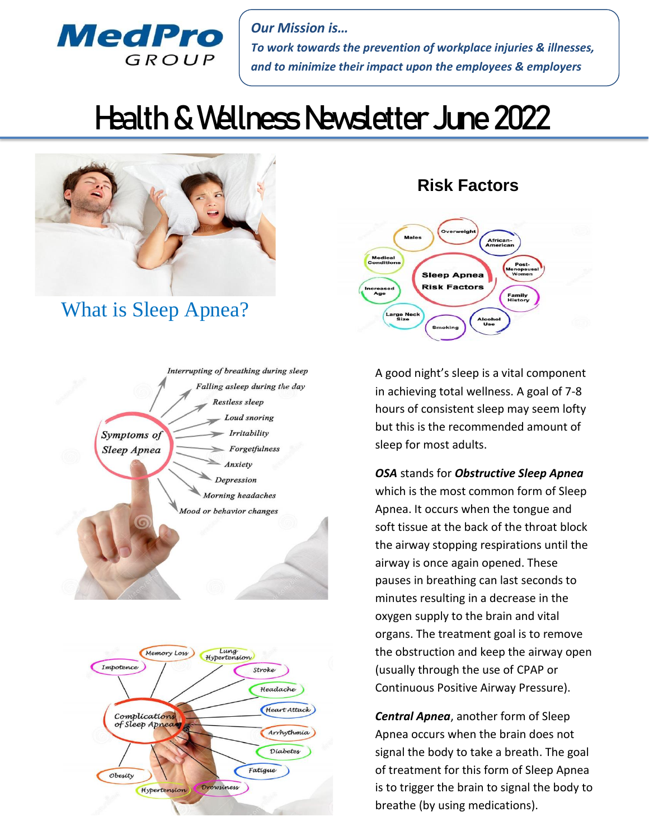

*Our Mission is… To work towards the prevention of workplace injuries & illnesses, and to minimize their impact upon the employees & employers*

# Health & Wellness Newsletter June 2022



## What is Sleep Apnea?





## **Risk Factors**



A good night's sleep is a vital component in achieving total wellness. A goal of 7-8 hours of consistent sleep may seem lofty but this is the recommended amount of sleep for most adults.

#### *OSA* stands for *Obstructive Sleep Apnea*

which is the most common form of Sleep Apnea. It occurs when the tongue and soft tissue at the back of the throat block the airway stopping respirations until the airway is once again opened. These pauses in breathing can last seconds to minutes resulting in a decrease in the oxygen supply to the brain and vital organs. The treatment goal is to remove the obstruction and keep the airway open (usually through the use of CPAP or Continuous Positive Airway Pressure).

*Central Apnea*, another form of Sleep Apnea occurs when the brain does not signal the body to take a breath. The goal of treatment for this form of Sleep Apnea is to trigger the brain to signal the body to breathe (by using medications).